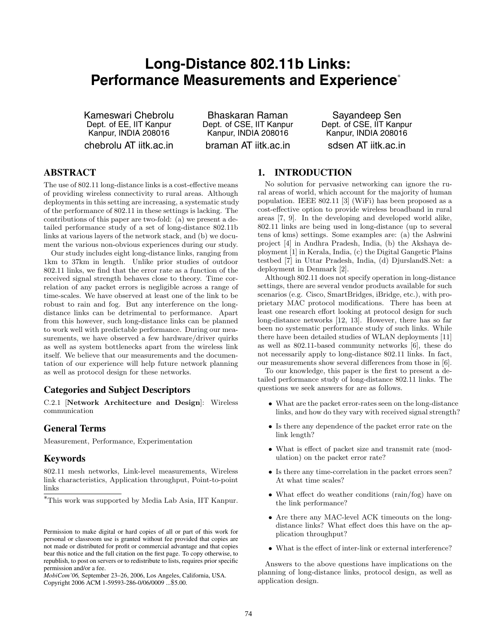# **Long-Distance 802.11b Links: Performance Measurements and Experience**<sup>∗</sup>

Kameswari Chebrolu Dept. of EE, IIT Kanpur Kanpur, INDIA 208016 chebrolu AT iitk.ac.in

Bhaskaran Raman Dept. of CSE, IIT Kanpur Kanpur, INDIA 208016 braman AT iitk.ac.in

Sayandeep Sen Dept. of CSE, IIT Kanpur Kanpur, INDIA 208016 sdsen AT iitk.ac.in

# **ABSTRACT**

The use of 802.11 long-distance links is a cost-effective means of providing wireless connectivity to rural areas. Although deployments in this setting are increasing, a systematic study of the performance of 802.11 in these settings is lacking. The contributions of this paper are two-fold: (a) we present a detailed performance study of a set of long-distance 802.11b links at various layers of the network stack, and (b) we document the various non-obvious experiences during our study.

Our study includes eight long-distance links, ranging from 1km to 37km in length. Unlike prior studies of outdoor 802.11 links, we find that the error rate as a function of the received signal strength behaves close to theory. Time correlation of any packet errors is negligible across a range of time-scales. We have observed at least one of the link to be robust to rain and fog. But any interference on the longdistance links can be detrimental to performance. Apart from this however, such long-distance links can be planned to work well with predictable performance. During our measurements, we have observed a few hardware/driver quirks as well as system bottlenecks apart from the wireless link itself. We believe that our measurements and the documentation of our experience will help future network planning as well as protocol design for these networks.

# **Categories and Subject Descriptors**

C.2.1 [**Network Architecture and Design**]: Wireless communication

## **General Terms**

Measurement, Performance, Experimentation

## **Keywords**

802.11 mesh networks, Link-level measurements, Wireless link characteristics, Application throughput, Point-to-point links

*MobiCom'06,* September 23–26, 2006, Los Angeles, California, USA. Copyright 2006 ACM 1-59593-286-0/06/0009 ...\$5.00.

# **1. INTRODUCTION**

No solution for pervasive networking can ignore the rural areas of world, which account for the majority of human population. IEEE 802.11 [3] (WiFi) has been proposed as a cost-effective option to provide wireless broadband in rural areas [7, 9]. In the developing and developed world alike, 802.11 links are being used in long-distance (up to several tens of kms) settings. Some examples are: (a) the Ashwini project [4] in Andhra Pradesh, India, (b) the Akshaya deployment [1] in Kerala, India, (c) the Digital Gangetic Plains testbed [7] in Uttar Pradesh, India, (d) DjurslandS.Net: a deployment in Denmark [2].

Although 802.11 does not specify operation in long-distance settings, there are several vendor products available for such scenarios (e.g. Cisco, SmartBridges, iBridge, etc.), with proprietary MAC protocol modifications. There has been at least one research effort looking at protocol design for such long-distance networks [12, 13]. However, there has so far been no systematic performance study of such links. While there have been detailed studies of WLAN deployments [11] as well as 802.11-based community networks [6], these do not necessarily apply to long-distance 802.11 links. In fact, our measurements show several differences from those in [6].

To our knowledge, this paper is the first to present a detailed performance study of long-distance 802.11 links. The questions we seek answers for are as follows.

- What are the packet error-rates seen on the long-distance links, and how do they vary with received signal strength?
- Is there any dependence of the packet error rate on the link length?
- What is effect of packet size and transmit rate (modulation) on the packet error rate?
- Is there any time-correlation in the packet errors seen? At what time scales?
- What effect do weather conditions (rain/fog) have on the link performance?
- Are there any MAC-level ACK timeouts on the longdistance links? What effect does this have on the application throughput?
- What is the effect of inter-link or external interference?

Answers to the above questions have implications on the planning of long-distance links, protocol design, as well as application design.

<sup>∗</sup>This work was supported by Media Lab Asia, IIT Kanpur.

Permission to make digital or hard copies of all or part of this work for personal or classroom use is granted without fee provided that copies are not made or distributed for profit or commercial advantage and that copies bear this notice and the full citation on the first page. To copy otherwise, to republish, to post on servers or to redistribute to lists, requires prior specific permission and/or a fee.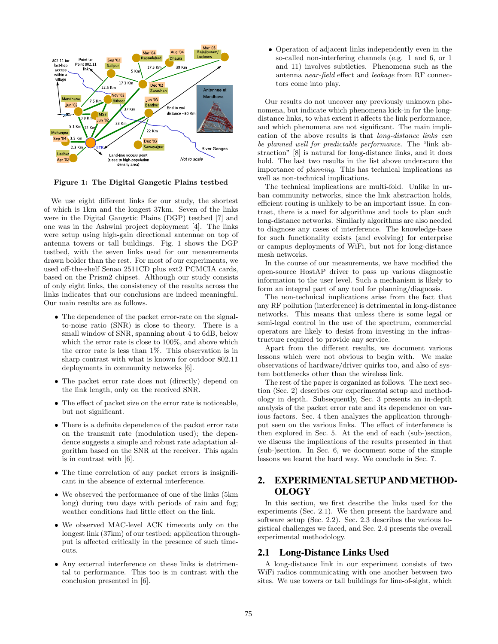

**Figure 1: The Digital Gangetic Plains testbed**

We use eight different links for our study, the shortest of which is 1km and the longest 37km. Seven of the links were in the Digital Gangetic Plains (DGP) testbed [7] and one was in the Ashwini project deployment [4]. The links were setup using high-gain directional antennae on top of antenna towers or tall buildings. Fig. 1 shows the DGP testbed, with the seven links used for our measurements drawn bolder than the rest. For most of our experiments, we used off-the-shelf Senao 2511CD plus ext2 PCMCIA cards, based on the Prism2 chipset. Although our study consists of only eight links, the consistency of the results across the links indicates that our conclusions are indeed meaningful. Our main results are as follows.

- The dependence of the packet error-rate on the signalto-noise ratio (SNR) is close to theory. There is a small window of SNR, spanning about 4 to 6dB, below which the error rate is close to 100%, and above which the error rate is less than 1%. This observation is in sharp contrast with what is known for outdoor 802.11 deployments in community networks [6].
- The packet error rate does not (directly) depend on the link length, only on the received SNR.
- The effect of packet size on the error rate is noticeable, but not significant.
- There is a definite dependence of the packet error rate on the transmit rate (modulation used); the dependence suggests a simple and robust rate adaptation algorithm based on the SNR at the receiver. This again is in contrast with [6].
- The time correlation of any packet errors is insignificant in the absence of external interference.
- We observed the performance of one of the links (5km long) during two days with periods of rain and fog; weather conditions had little effect on the link.
- We observed MAC-level ACK timeouts only on the longest link (37km) of our testbed; application throughput is affected critically in the presence of such timeouts.
- Any external interference on these links is detrimental to performance. This too is in contrast with the conclusion presented in [6].

• Operation of adjacent links independently even in the so-called non-interfering channels (e.g. 1 and 6, or 1 and 11) involves subtleties. Phenomena such as the antenna near-field effect and leakage from RF connectors come into play.

Our results do not uncover any previously unknown phenomena, but indicate which phenomena kick-in for the longdistance links, to what extent it affects the link performance, and which phenomena are not significant. The main implication of the above results is that long-distance links can be planned well for predictable performance. The "link abstraction" [8] is natural for long-distance links, and it does hold. The last two results in the list above underscore the importance of planning. This has technical implications as well as non-technical implications.

The technical implications are multi-fold. Unlike in urban community networks, since the link abstraction holds, efficient routing is unlikely to be an important issue. In contrast, there is a need for algorithms and tools to plan such long-distance networks. Similarly algorithms are also needed to diagnose any cases of interference. The knowledge-base for such functionality exists (and evolving) for enterprise or campus deployments of WiFi, but not for long-distance mesh networks.

In the course of our measurements, we have modified the open-source HostAP driver to pass up various diagnostic information to the user level. Such a mechanism is likely to form an integral part of any tool for planning/diagnosis.

The non-technical implications arise from the fact that any RF pollution (interference) is detrimental in long-distance networks. This means that unless there is some legal or semi-legal control in the use of the spectrum, commercial operators are likely to desist from investing in the infrastructure required to provide any service.

Apart from the different results, we document various lessons which were not obvious to begin with. We make observations of hardware/driver quirks too, and also of system bottlenecks other than the wireless link.

The rest of the paper is organized as follows. The next section (Sec. 2) describes our experimental setup and methodology in depth. Subsequently, Sec. 3 presents an in-depth analysis of the packet error rate and its dependence on various factors. Sec. 4 then analyzes the application throughput seen on the various links. The effect of interference is then explored in Sec. 5. At the end of each (sub-)section, we discuss the implications of the results presented in that (sub-)section. In Sec. 6, we document some of the simple lessons we learnt the hard way. We conclude in Sec. 7.

# **2. EXPERIMENTAL SETUP ANDMETHOD-OLOGY**

In this section, we first describe the links used for the experiments (Sec. 2.1). We then present the hardware and software setup (Sec. 2.2). Sec. 2.3 describes the various logistical challenges we faced, and Sec. 2.4 presents the overall experimental methodology.

## **2.1 Long-Distance Links Used**

A long-distance link in our experiment consists of two WiFi radios communicating with one another between two sites. We use towers or tall buildings for line-of-sight, which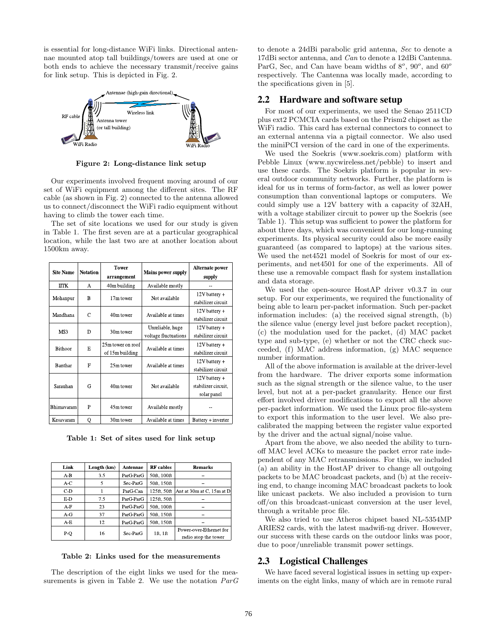is essential for long-distance WiFi links. Directional antennae mounted atop tall buildings/towers are used at one or both ends to achieve the necessary transmit/receive gains for link setup. This is depicted in Fig. 2.



**Figure 2: Long-distance link setup**

Our experiments involved frequent moving around of our set of WiFi equipment among the different sites. The RF cable (as shown in Fig. 2) connected to the antenna allowed us to connect/disconnect the WiFi radio equipment without having to climb the tower each time.

The set of site locations we used for our study is given in Table 1. The first seven are at a particular geographical location, while the last two are at another location about 1500km away.

| <b>Site Name</b> | <b>Notation</b> | <b>Tower</b><br>arrangement          | <b>Mains power supply</b>                | Alternate power<br>supply                             |
|------------------|-----------------|--------------------------------------|------------------------------------------|-------------------------------------------------------|
| <b>IITK</b>      | A               | 40m building                         | Available mostly                         |                                                       |
| Mohanpur         | B               | 17m tower                            | Not available                            | $12V$ battery +<br>stabilizer circuit                 |
| Mandhana         | C               | 40m tower                            | Available at times                       | $12V$ battery +<br>stabilizer circuit                 |
| MS3              | D               | 30m tower                            | Unreliable, huge<br>voltage fluctuations | 12V battery +<br>stabilizer circuit                   |
| <b>Bithoor</b>   | E               | 25m tower on roof<br>of 15m building | Available at times                       | $12V$ battery +<br>stabilizer circuit                 |
| Banthar          | F               | 25m tower                            | Available at times                       | 12V battery +<br>stabilizer circuit                   |
| Sarauhan         | G               | 40m tower                            | Not available                            | $12V$ battery +<br>stabilizer circuit,<br>solar panel |
| Bhimavaram       | P               | 45m tower                            | Available mostly                         |                                                       |
| Kesavaram        | Q               | 30m tower                            | Available at times                       | Battery + inverter                                    |

**Table 1: Set of sites used for link setup**

| Link  | Length (km) | <b>Antennae</b> | <b>RF</b> cables | <b>Remarks</b>            |
|-------|-------------|-----------------|------------------|---------------------------|
| A B   | 3.5         | ParG ParG       | 50ft, 100ft      |                           |
| A C   | 5           | Sec ParG        | 50ft, 150ft      |                           |
| $C-D$ |             | ParG Can        | 125ft, 50ft      | Ant at 30m at C, 15m at D |
| E D   | 7.5         | ParG ParG       | 125ft, 50ft      |                           |
| A-F   | 23          | ParG ParG       | 50ft, 100ft      |                           |
| A G   | 37          | ParG ParG       | 50ft, 150ft      |                           |
| A-E   | 12          | ParG ParG       | 50ft, 150ft      |                           |
| P Q   | 16          | Sec ParG        | 1ft, 1ft         | Power over Ethernet for   |
|       |             |                 |                  | radio atop the tower      |

**Table 2: Links used for the measurements**

The description of the eight links we used for the measurements is given in Table 2. We use the notation  $ParG$  to denote a 24dBi parabolic grid antenna, Sec to denote a 17dBi sector antenna, and Can to denote a 12dBi Cantenna. ParG, Sec, and Can have beam widths of 8*<sup>o</sup>*, 90*<sup>o</sup>*, and 60*<sup>o</sup>* respectively. The Cantenna was locally made, according to the specifications given in [5].

## **2.2 Hardware and software setup**

For most of our experiments, we used the Senao 2511CD plus ext2 PCMCIA cards based on the Prism2 chipset as the WiFi radio. This card has external connectors to connect to an external antenna via a pigtail connector. We also used the miniPCI version of the card in one of the experiments.

We used the Soekris (www.soekris.com) platform with Pebble Linux (www.nycwireless.net/pebble) to insert and use these cards. The Soekris platform is popular in several outdoor community networks. Further, the platform is ideal for us in terms of form-factor, as well as lower power consumption than conventional laptops or computers. We could simply use a 12V battery with a capacity of 32AH, with a voltage stabilizer circuit to power up the Soekris (see Table 1). This setup was sufficient to power the platform for about three days, which was convenient for our long-running experiments. Its physical security could also be more easily guaranteed (as compared to laptops) at the various sites. We used the net4521 model of Soekris for most of our experiments, and net4501 for one of the experiments. All of these use a removable compact flash for system installation and data storage.

We used the open-source HostAP driver v0.3.7 in our setup. For our experiments, we required the functionality of being able to learn per-packet information. Such per-packet information includes: (a) the received signal strength, (b) the silence value (energy level just before packet reception), (c) the modulation used for the packet, (d) MAC packet type and sub-type, (e) whether or not the CRC check succeeded, (f) MAC address information, (g) MAC sequence number information.

All of the above information is available at the driver-level from the hardware. The driver exports some information such as the signal strength or the silence value, to the user level, but not at a per-packet granularity. Hence our first effort involved driver modifications to export all the above per-packet information. We used the Linux proc file-system to export this information to the user level. We also precalibrated the mapping between the register value exported by the driver and the actual signal/noise value.

Apart from the above, we also needed the ability to turnoff MAC level ACKs to measure the packet error rate independent of any MAC retransmissions. For this, we included (a) an ability in the HostAP driver to change all outgoing packets to be MAC broadcast packets, and (b) at the receiving end, to change incoming MAC broadcast packets to look like unicast packets. We also included a provision to turn off/on this broadcast-unicast conversion at the user level, through a writable proc file.

We also tried to use Atheros chipset based NL-5354MP ARIES2 cards, with the latest madwifi-ng driver. However, our success with these cards on the outdoor links was poor, due to poor/unreliable transmit power settings.

## **2.3 Logistical Challenges**

We have faced several logistical issues in setting up experiments on the eight links, many of which are in remote rural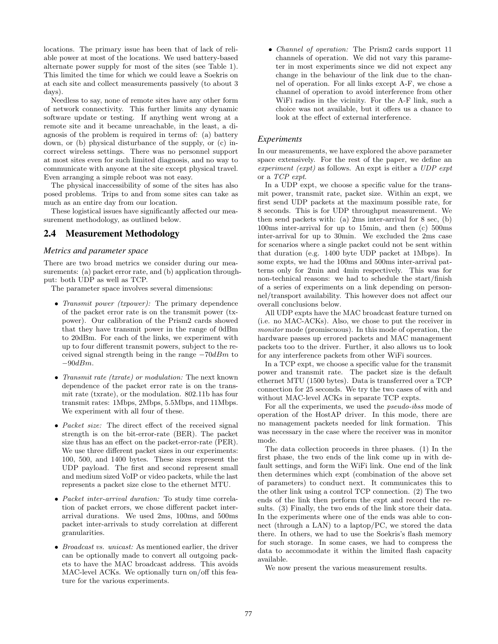locations. The primary issue has been that of lack of reliable power at most of the locations. We used battery-based alternate power supply for most of the sites (see Table 1). This limited the time for which we could leave a Soekris on at each site and collect measurements passively (to about 3 days).

Needless to say, none of remote sites have any other form of network connectivity. This further limits any dynamic software update or testing. If anything went wrong at a remote site and it became unreachable, in the least, a diagnosis of the problem is required in terms of: (a) battery down, or (b) physical disturbance of the supply, or (c) incorrect wireless settings. There was no personnel support at most sites even for such limited diagnosis, and no way to communicate with anyone at the site except physical travel. Even arranging a simple reboot was not easy.

The physical inaccessibility of some of the sites has also posed problems. Trips to and from some sites can take as much as an entire day from our location.

These logistical issues have significantly affected our measurement methodology, as outlined below.

# **2.4 Measurement Methodology**

#### *Metrics and parameter space*

There are two broad metrics we consider during our measurements: (a) packet error rate, and (b) application throughput: both UDP as well as TCP.

The parameter space involves several dimensions:

- *Transmit power (txpower)*: The primary dependence of the packet error rate is on the transmit power (txpower). Our calibration of the Prism2 cards showed that they have transmit power in the range of 0dBm to 20dBm. For each of the links, we experiment with up to four different transmit powers, subject to the received signal strength being in the range  $-70dBm$  to  $-90dBm$ .
- *Transmit rate (txrate)* or modulation: The next known dependence of the packet error rate is on the transmit rate (txrate), or the modulation. 802.11b has four transmit rates: 1Mbps, 2Mbps, 5.5Mbps, and 11Mbps. We experiment with all four of these.
- Packet size: The direct effect of the received signal strength is on the bit-error-rate (BER). The packet size thus has an effect on the packet-error-rate (PER). We use three different packet sizes in our experiments: 100, 500, and 1400 bytes. These sizes represent the UDP payload. The first and second represent small and medium sized VoIP or video packets, while the last represents a packet size close to the ethernet MTU.
- Packet inter-arrival duration: To study time correlation of packet errors, we chose different packet interarrival durations. We used 2ms, 100ms, and 500ms packet inter-arrivals to study correlation at different granularities.
- Broadcast vs. unicast: As mentioned earlier, the driver can be optionally made to convert all outgoing packets to have the MAC broadcast address. This avoids MAC-level ACKs. We optionally turn on/off this feature for the various experiments.

• Channel of operation: The Prism2 cards support 11 channels of operation. We did not vary this parameter in most experiments since we did not expect any change in the behaviour of the link due to the channel of operation. For all links except A-F, we chose a channel of operation to avoid interference from other WiFi radios in the vicinity. For the A-F link, such a choice was not available, but it offers us a chance to look at the effect of external interference.

## *Experiments*

In our measurements, we have explored the above parameter space extensively. For the rest of the paper, we define an experiment (expt) as follows. An expt is either a UDP expt or a TCP expt.

In a UDP expt, we choose a specific value for the transmit power, transmit rate, packet size. Within an expt, we first send UDP packets at the maximum possible rate, for 8 seconds. This is for UDP throughput measurement. We then send packets with: (a) 2ms inter-arrival for 8 sec, (b) 100ms inter-arrival for up to 15min, and then (c) 500ms inter-arrival for up to 30min. We excluded the 2ms case for scenarios where a single packet could not be sent within that duration (e.g. 1400 byte UDP packet at 1Mbps). In some expts, we had the 100ms and 500ms inter-arrival patterns only for 2min and 4min respectively. This was for non-technical reasons: we had to schedule the start/finish of a series of experiments on a link depending on personnel/transport availability. This however does not affect our overall conclusions below.

All UDP expts have the MAC broadcast feature turned on (i.e. no MAC-ACKs). Also, we chose to put the receiver in monitor mode (promiscuous). In this mode of operation, the hardware passes up errored packets and MAC management packets too to the driver. Further, it also allows us to look for any interference packets from other WiFi sources.

In a TCP expt, we choose a specific value for the transmit power and transmit rate. The packet size is the default ethernet MTU (1500 bytes). Data is transferred over a TCP connection for 25 seconds. We try the two cases of with and without MAC-level ACKs in separate TCP expts.

For all the experiments, we used the pseudo-ibss mode of operation of the HostAP driver. In this mode, there are no management packets needed for link formation. This was necessary in the case where the receiver was in monitor mode.

The data collection proceeds in three phases. (1) In the first phase, the two ends of the link come up in with default settings, and form the WiFi link. One end of the link then determines which expt (combination of the above set of parameters) to conduct next. It communicates this to the other link using a control TCP connection. (2) The two ends of the link then perform the expt and record the results. (3) Finally, the two ends of the link store their data. In the experiments where one of the ends was able to connect (through a LAN) to a laptop/PC, we stored the data there. In others, we had to use the Soekris's flash memory for such storage. In some cases, we had to compress the data to accommodate it within the limited flash capacity available.

We now present the various measurement results.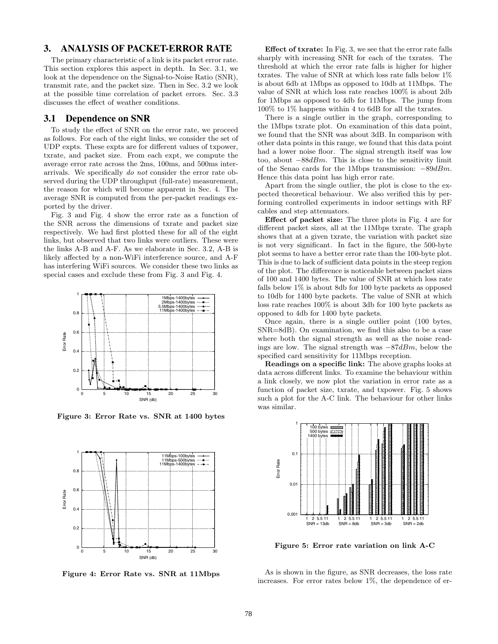# **3. ANALYSIS OF PACKET-ERROR RATE**

The primary characteristic of a link is its packet error rate. This section explores this aspect in depth. In Sec. 3.1, we look at the dependence on the Signal-to-Noise Ratio (SNR), transmit rate, and the packet size. Then in Sec. 3.2 we look at the possible time correlation of packet errors. Sec. 3.3 discusses the effect of weather conditions.

# **3.1 Dependence on SNR**

To study the effect of SNR on the error rate, we proceed as follows. For each of the eight links, we consider the set of UDP expts. These expts are for different values of txpower, txrate, and packet size. From each expt, we compute the average error rate across the 2ms, 100ms, and 500ms interarrivals. We specifically do not consider the error rate observed during the UDP throughput (full-rate) measurement, the reason for which will become apparent in Sec. 4. The average SNR is computed from the per-packet readings exported by the driver.

Fig. 3 and Fig. 4 show the error rate as a function of the SNR across the dimensions of txrate and packet size respectively. We had first plotted these for all of the eight links, but observed that two links were outliers. These were the links A-B and A-F. As we elaborate in Sec. 3.2, A-B is likely affected by a non-WiFi interference source, and A-F has interfering WiFi sources. We consider these two links as special cases and exclude these from Fig. 3 and Fig. 4.



**Figure 3: Error Rate vs. SNR at 1400 bytes**



**Figure 4: Error Rate vs. SNR at 11Mbps**

**Effect of txrate:** In Fig. 3, we see that the error rate falls sharply with increasing SNR for each of the txrates. The threshold at which the error rate falls is higher for higher txrates. The value of SNR at which loss rate falls below 1% is about 6db at 1Mbps as opposed to 10db at 11Mbps. The value of SNR at which loss rate reaches 100% is about 2db for 1Mbps as opposed to 4db for 11Mbps. The jump from 100% to 1% happens within 4 to 6dB for all the txrates.

There is a single outlier in the graph, corresponding to the 1Mbps txrate plot. On examination of this data point, we found that the SNR was about 3dB. In comparison with other data points in this range, we found that this data point had a lower noise floor. The signal strength itself was low too, about  $-88dBm$ . This is close to the sensitivity limit of the Senao cards for the 1Mbps transmission: <sup>−</sup>89dBm. Hence this data point has high error rate.

Apart from the single outlier, the plot is close to the expected theoretical behaviour. We also verified this by performing controlled experiments in indoor settings with RF cables and step attenuators.

**Effect of packet size:** The three plots in Fig. 4 are for different packet sizes, all at the 11Mbps txrate. The graph shows that at a given txrate, the variation with packet size is not very significant. In fact in the figure, the 500-byte plot seems to have a better error rate than the 100-byte plot. This is due to lack of sufficient data points in the steep region of the plot. The difference is noticeable between packet sizes of 100 and 1400 bytes. The value of SNR at which loss rate falls below  $1\%$  is about 8db for 100 byte packets as opposed to 10db for 1400 byte packets. The value of SNR at which loss rate reaches 100% is about 3db for 100 byte packets as opposed to 4db for 1400 byte packets.

Once again, there is a single outlier point (100 bytes, SNR=8dB). On examination, we find this also to be a case where both the signal strength as well as the noise readings are low. The signal strength was  $-87dBm$ , below the specified card sensitivity for 11Mbps reception.

**Readings on a specific link:** The above graphs looks at data across different links. To examine the behaviour within a link closely, we now plot the variation in error rate as a function of packet size, txrate, and txpower. Fig. 5 shows such a plot for the A-C link. The behaviour for other links was similar.



**Figure 5: Error rate variation on link A-C**

As is shown in the figure, as SNR decreases, the loss rate increases. For error rates below 1%, the dependence of er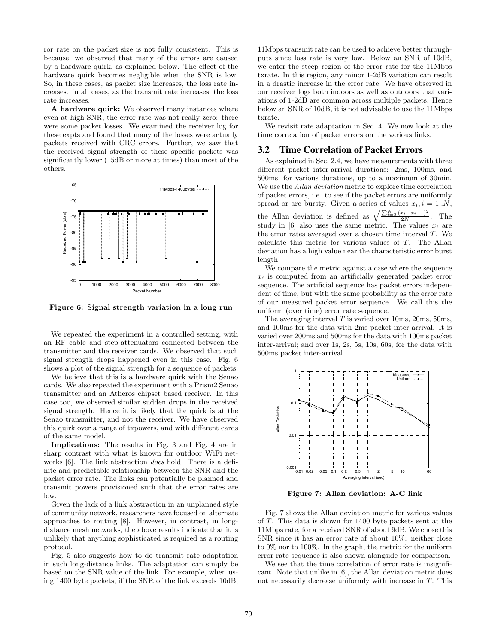ror rate on the packet size is not fully consistent. This is because, we observed that many of the errors are caused by a hardware quirk, as explained below. The effect of the hardware quirk becomes negligible when the SNR is low. So, in these cases, as packet size increases, the loss rate increases. In all cases, as the transmit rate increases, the loss rate increases.

**A hardware quirk:** We observed many instances where even at high SNR, the error rate was not really zero: there were some packet losses. We examined the receiver log for these expts and found that many of the losses were actually packets received with CRC errors. Further, we saw that the received signal strength of these specific packets was significantly lower (15dB or more at times) than most of the others.



**Figure 6: Signal strength variation in a long run**

We repeated the experiment in a controlled setting, with an RF cable and step-attenuators connected between the transmitter and the receiver cards. We observed that such signal strength drops happened even in this case. Fig. 6 shows a plot of the signal strength for a sequence of packets.

We believe that this is a hardware quirk with the Senao cards. We also repeated the experiment with a Prism2 Senao transmitter and an Atheros chipset based receiver. In this case too, we observed similar sudden drops in the received signal strength. Hence it is likely that the quirk is at the Senao transmitter, and not the receiver. We have observed this quirk over a range of txpowers, and with different cards of the same model.

**Implications:** The results in Fig. 3 and Fig. 4 are in sharp contrast with what is known for outdoor WiFi networks [6]. The link abstraction does hold. There is a definite and predictable relationship between the SNR and the packet error rate. The links can potentially be planned and transmit powers provisioned such that the error rates are low.

Given the lack of a link abstraction in an unplanned style of community network, researchers have focused on alternate approaches to routing [8]. However, in contrast, in longdistance mesh networks, the above results indicate that it is unlikely that anything sophisticated is required as a routing protocol.

Fig. 5 also suggests how to do transmit rate adaptation in such long-distance links. The adaptation can simply be based on the SNR value of the link. For example, when using 1400 byte packets, if the SNR of the link exceeds 10dB, 11Mbps transmit rate can be used to achieve better throughputs since loss rate is very low. Below an SNR of 10dB, we enter the steep region of the error rate for the 11Mbps txrate. In this region, any minor 1-2dB variation can result in a drastic increase in the error rate. We have observed in our receiver logs both indoors as well as outdoors that variations of 1-2dB are common across multiple packets. Hence below an SNR of 10dB, it is not advisable to use the 11Mbps txrate.

We revisit rate adaptation in Sec. 4. We now look at the time correlation of packet errors on the various links.

#### **3.2 Time Correlation of Packet Errors**

As explained in Sec. 2.4, we have measurements with three different packet inter-arrival durations: 2ms, 100ms, and 500ms, for various durations, up to a maximum of 30min. We use the Allan deviation metric to explore time correlation of packet errors, i.e. to see if the packet errors are uniformly spread or are bursty. Given a series of values  $x_i$ ,  $i = 1..N$ , the Allan deviation is defined as  $\sqrt{\frac{\sum_{i=2}^{N}(x_i-x_{i-1})^2}{2N}}$ . The study in [6] also uses the same metric. The values  $x_i$  are the error rates averaged over a chosen time interval T. We calculate this metric for various values of T. The Allan deviation has a high value near the characteristic error burst length.

We compare the metric against a case where the sequence  $x_i$  is computed from an artificially generated packet error sequence. The artificial sequence has packet errors independent of time, but with the same probability as the error rate of our measured packet error sequence. We call this the uniform (over time) error rate sequence.

The averaging interval  $T$  is varied over 10ms, 20ms, 50ms, and 100ms for the data with 2ms packet inter-arrival. It is varied over 200ms and 500ms for the data with 100ms packet inter-arrival; and over 1s, 2s, 5s, 10s, 60s, for the data with 500ms packet inter-arrival.



**Figure 7: Allan deviation: A-C link**

Fig. 7 shows the Allan deviation metric for various values of T. This data is shown for 1400 byte packets sent at the 11Mbps rate, for a received SNR of about 9dB. We chose this SNR since it has an error rate of about 10%: neither close to 0% nor to 100%. In the graph, the metric for the uniform error-rate sequence is also shown alongside for comparison.

We see that the time correlation of error rate is insignificant. Note that unlike in [6], the Allan deviation metric does not necessarily decrease uniformly with increase in T. This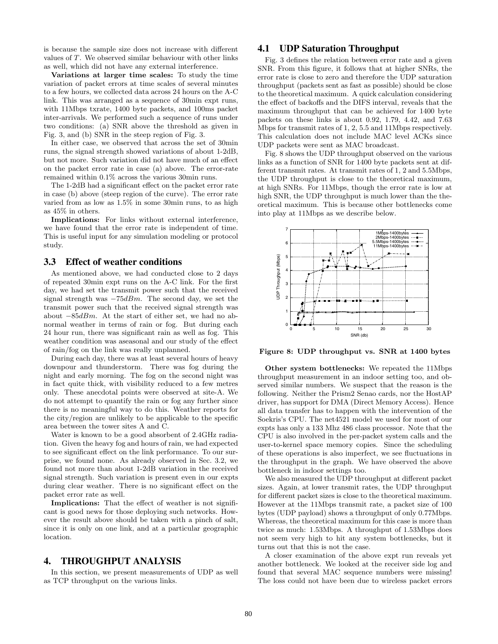is because the sample size does not increase with different values of T. We observed similar behaviour with other links as well, which did not have any external interference.

**Variations at larger time scales:** To study the time variation of packet errors at time scales of several minutes to a few hours, we collected data across 24 hours on the A-C link. This was arranged as a sequence of 30min expt runs, with 11Mbps txrate, 1400 byte packets, and 100ms packet inter-arrivals. We performed such a sequence of runs under two conditions: (a) SNR above the threshold as given in Fig. 3, and (b) SNR in the steep region of Fig. 3.

In either case, we observed that across the set of 30min runs, the signal strength showed variations of about 1-2dB, but not more. Such variation did not have much of an effect on the packet error rate in case (a) above. The error-rate remained within 0.1% across the various 30min runs.

The 1-2dB had a significant effect on the packet error rate in case (b) above (steep region of the curve). The error rate varied from as low as 1.5% in some 30min runs, to as high as 45% in others.

**Implications:** For links without external interference, we have found that the error rate is independent of time. This is useful input for any simulation modeling or protocol study.

## **3.3 Effect of weather conditions**

As mentioned above, we had conducted close to 2 days of repeated 30min expt runs on the A-C link. For the first day, we had set the transmit power such that the received signal strength was  $-75dBm$ . The second day, we set the transmit power such that the received signal strength was about  $-85dBm$ . At the start of either set, we had no abnormal weather in terms of rain or fog. But during each 24 hour run, there was significant rain as well as fog. This weather condition was aseasonal and our study of the effect of rain/fog on the link was really unplanned.

During each day, there was at least several hours of heavy downpour and thunderstorm. There was fog during the night and early morning. The fog on the second night was in fact quite thick, with visibility reduced to a few metres only. These anecdotal points were observed at site-A. We do not attempt to quantify the rain or fog any further since there is no meaningful way to do this. Weather reports for the city/region are unlikely to be applicable to the specific area between the tower sites A and C.

Water is known to be a good absorbent of 2.4GHz radiation. Given the heavy fog and hours of rain, we had expected to see significant effect on the link performance. To our surprise, we found none. As already observed in Sec. 3.2, we found not more than about 1-2dB variation in the received signal strength. Such variation is present even in our expts during clear weather. There is no significant effect on the packet error rate as well.

**Implications:** That the effect of weather is not significant is good news for those deploying such networks. However the result above should be taken with a pinch of salt, since it is only on one link, and at a particular geographic location.

## **4. THROUGHPUT ANALYSIS**

In this section, we present measurements of UDP as well as TCP throughput on the various links.

# **4.1 UDP Saturation Throughput**

Fig. 3 defines the relation between error rate and a given SNR. From this figure, it follows that at higher SNRs, the error rate is close to zero and therefore the UDP saturation throughput (packets sent as fast as possible) should be close to the theoretical maximum. A quick calculation considering the effect of backoffs and the DIFS interval, reveals that the maximum throughput that can be achieved for 1400 byte packets on these links is about 0.92, 1.79, 4.42, and 7.63 Mbps for transmit rates of 1, 2, 5.5 and 11Mbps respectively. This calculation does not include MAC level ACKs since UDP packets were sent as MAC broadcast.

Fig. 8 shows the UDP throughput observed on the various links as a function of SNR for 1400 byte packets sent at different transmit rates. At transmit rates of 1, 2 and 5.5Mbps, the UDP throughput is close to the theoretical maximum, at high SNRs. For 11Mbps, though the error rate is low at high SNR, the UDP throughput is much lower than the theoretical maximum. This is because other bottlenecks come into play at 11Mbps as we describe below.



**Figure 8: UDP throughput vs. SNR at 1400 bytes**

**Other system bottlenecks:** We repeated the 11Mbps throughput measurement in an indoor setting too, and observed similar numbers. We suspect that the reason is the following. Neither the Prism2 Senao cards, nor the HostAP driver, has support for DMA (Direct Memory Access). Hence all data transfer has to happen with the intervention of the Soekris's CPU. The net4521 model we used for most of our expts has only a 133 Mhz 486 class processor. Note that the CPU is also involved in the per-packet system calls and the user-to-kernel space memory copies. Since the scheduling of these operations is also imperfect, we see fluctuations in the throughput in the graph. We have observed the above bottleneck in indoor settings too.

We also measured the UDP throughput at different packet sizes. Again, at lower transmit rates, the UDP throughput for different packet sizes is close to the theoretical maximum. However at the 11Mbps transmit rate, a packet size of 100 bytes (UDP payload) shows a throughput of only 0.77Mbps. Whereas, the theoretical maximum for this case is more than twice as much: 1.53Mbps. A throughput of 1.53Mbps does not seem very high to hit any system bottlenecks, but it turns out that this is not the case.

A closer examination of the above expt run reveals yet another bottleneck. We looked at the receiver side log and found that several MAC sequence numbers were missing! The loss could not have been due to wireless packet errors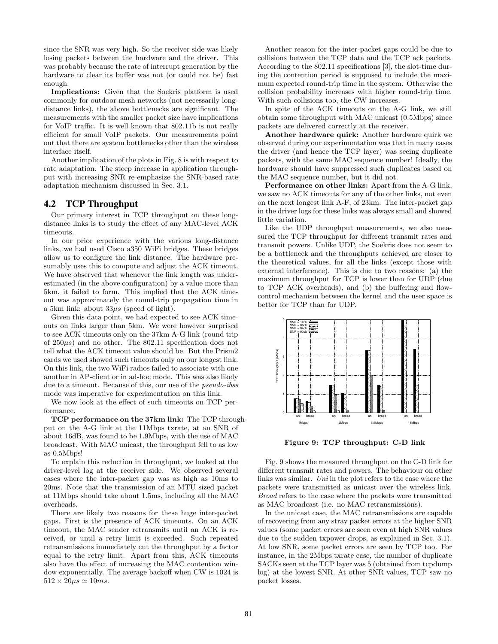since the SNR was very high. So the receiver side was likely losing packets between the hardware and the driver. This was probably because the rate of interrupt generation by the hardware to clear its buffer was not (or could not be) fast enough.

**Implications:** Given that the Soekris platform is used commonly for outdoor mesh networks (not necessarily longdistance links), the above bottlenecks are significant. The measurements with the smaller packet size have implications for VoIP traffic. It is well known that 802.11b is not really efficient for small VoIP packets. Our measurements point out that there are system bottlenecks other than the wireless interface itself.

Another implication of the plots in Fig. 8 is with respect to rate adaptation. The steep increase in application throughput with increasing SNR re-emphasize the SNR-based rate adaptation mechanism discussed in Sec. 3.1.

# **4.2 TCP Throughput**

Our primary interest in TCP throughput on these longdistance links is to study the effect of any MAC-level ACK timeouts.

In our prior experience with the various long-distance links, we had used Cisco a350 WiFi bridges. These bridges allow us to configure the link distance. The hardware presumably uses this to compute and adjust the ACK timeout. We have observed that whenever the link length was underestimated (in the above configuration) by a value more than 5km, it failed to form. This implied that the ACK timeout was approximately the round-trip propagation time in a 5km link: about  $33\mu s$  (speed of light).

Given this data point, we had expected to see ACK timeouts on links larger than 5km. We were however surprised to see ACK timeouts only on the 37km A-G link (round trip of  $250\mu s$  and no other. The 802.11 specification does not tell what the ACK timeout value should be. But the Prism2 cards we used showed such timeouts only on our longest link. On this link, the two WiFi radios failed to associate with one another in AP-client or in ad-hoc mode. This was also likely due to a timeout. Because of this, our use of the *pseudo-ibss* mode was imperative for experimentation on this link.

We now look at the effect of such timeouts on TCP performance.

**TCP performance on the 37km link:** The TCP throughput on the A-G link at the 11Mbps txrate, at an SNR of about 16dB, was found to be 1.9Mbps, with the use of MAC broadcast. With MAC unicast, the throughput fell to as low as 0.5Mbps!

To explain this reduction in throughput, we looked at the driver-level log at the receiver side. We observed several cases where the inter-packet gap was as high as 10ms to 20ms. Note that the transmission of an MTU sized packet at 11Mbps should take about 1.5ms, including all the MAC overheads.

There are likely two reasons for these huge inter-packet gaps. First is the presence of ACK timeouts. On an ACK timeout, the MAC sender retransmits until an ACK is received, or until a retry limit is exceeded. Such repeated retransmissions immediately cut the throughput by a factor equal to the retry limit. Apart from this, ACK timeouts also have the effect of increasing the MAC contention window exponentially. The average backoff when CW is 1024 is  $512 \times 20 \mu s \simeq 10 ms.$ 

Another reason for the inter-packet gaps could be due to collisions between the TCP data and the TCP ack packets. According to the 802.11 specifications [3], the slot-time during the contention period is supposed to include the maximum expected round-trip time in the system. Otherwise the collision probability increases with higher round-trip time. With such collisions too, the CW increases.

In spite of the ACK timeouts on the A-G link, we still obtain some throughput with MAC unicast (0.5Mbps) since packets are delivered correctly at the receiver.

**Another hardware quirk:** Another hardware quirk we observed during our experimentation was that in many cases the driver (and hence the TCP layer) was seeing duplicate packets, with the same MAC sequence number! Ideally, the hardware should have suppressed such duplicates based on the MAC sequence number, but it did not.

**Performance on other links:** Apart from the A-G link, we saw no ACK timeouts for any of the other links, not even on the next longest link A-F, of 23km. The inter-packet gap in the driver logs for these links was always small and showed little variation.

Like the UDP throughput measurements, we also measured the TCP throughput for different transmit rates and transmit powers. Unlike UDP, the Soekris does not seem to be a bottleneck and the throughputs achieved are closer to the theoretical values, for all the links (except those with external interference). This is due to two reasons: (a) the maximum throughput for TCP is lower than for UDP (due to TCP ACK overheads), and (b) the buffering and flowcontrol mechanism between the kernel and the user space is better for TCP than for UDP.



**Figure 9: TCP throughput: C-D link**

Fig. 9 shows the measured throughput on the C-D link for different transmit rates and powers. The behaviour on other links was similar. Uni in the plot refers to the case where the packets were transmitted as unicast over the wireless link. Broad refers to the case where the packets were transmitted as MAC broadcast (i.e. no MAC retransmissions).

In the unicast case, the MAC retransmissions are capable of recovering from any stray packet errors at the higher SNR values (some packet errors are seen even at high SNR values due to the sudden txpower drops, as explained in Sec. 3.1). At low SNR, some packet errors are seen by TCP too. For instance, in the 2Mbps txrate case, the number of duplicate SACKs seen at the TCP layer was 5 (obtained from tcpdump log) at the lowest SNR. At other SNR values, TCP saw no packet losses.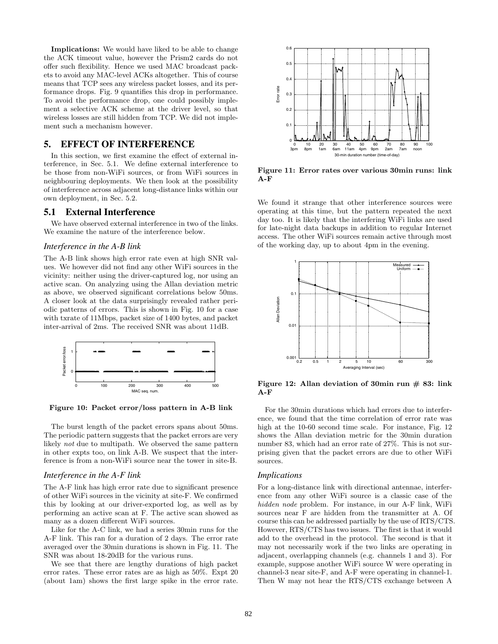**Implications:** We would have liked to be able to change the ACK timeout value, however the Prism2 cards do not offer such flexibility. Hence we used MAC broadcast packets to avoid any MAC-level ACKs altogether. This of course means that TCP sees any wireless packet losses, and its performance drops. Fig. 9 quantifies this drop in performance. To avoid the performance drop, one could possibly implement a selective ACK scheme at the driver level, so that wireless losses are still hidden from TCP. We did not implement such a mechanism however.

# **5. EFFECT OF INTERFERENCE**

In this section, we first examine the effect of external interference, in Sec. 5.1. We define external interference to be those from non-WiFi sources, or from WiFi sources in neighbouring deployments. We then look at the possibility of interference across adjacent long-distance links within our own deployment, in Sec. 5.2.

### **5.1 External Interference**

We have observed external interference in two of the links. We examine the nature of the interference below.

#### *Interference in the A-B link*

The A-B link shows high error rate even at high SNR values. We however did not find any other WiFi sources in the vicinity: neither using the driver-captured log, nor using an active scan. On analyzing using the Allan deviation metric as above, we observed significant correlations below 50ms. A closer look at the data surprisingly revealed rather periodic patterns of errors. This is shown in Fig. 10 for a case with txrate of 11Mbps, packet size of 1400 bytes, and packet inter-arrival of 2ms. The received SNR was about 11dB.



**Figure 10: Packet error/loss pattern in A-B link**

The burst length of the packet errors spans about 50ms. The periodic pattern suggests that the packet errors are very likely not due to multipath. We observed the same pattern in other expts too, on link A-B. We suspect that the interference is from a non-WiFi source near the tower in site-B.

## *Interference in the A-F link*

The A-F link has high error rate due to significant presence of other WiFi sources in the vicinity at site-F. We confirmed this by looking at our driver-exported log, as well as by performing an active scan at F. The active scan showed as many as a dozen different WiFi sources.

Like for the A-C link, we had a series 30min runs for the A-F link. This ran for a duration of 2 days. The error rate averaged over the 30min durations is shown in Fig. 11. The SNR was about 18-20dB for the various runs.

We see that there are lengthy durations of high packet error rates. These error rates are as high as 50%. Expt 20 (about 1am) shows the first large spike in the error rate.



**Figure 11: Error rates over various 30min runs: link A-F**

We found it strange that other interference sources were operating at this time, but the pattern repeated the next day too. It is likely that the interfering WiFi links are used for late-night data backups in addition to regular Internet access. The other WiFi sources remain active through most of the working day, up to about 4pm in the evening.



**Figure 12: Allan deviation of 30min run # 83: link A-F**

For the 30min durations which had errors due to interference, we found that the time correlation of error rate was high at the 10-60 second time scale. For instance, Fig. 12 shows the Allan deviation metric for the 30min duration number 83, which had an error rate of 27%. This is not surprising given that the packet errors are due to other WiFi sources.

#### *Implications*

For a long-distance link with directional antennae, interference from any other WiFi source is a classic case of the hidden node problem. For instance, in our A-F link, WiFi sources near F are hidden from the transmitter at A. Of course this can be addressed partially by the use of RTS/CTS. However, RTS/CTS has two issues. The first is that it would add to the overhead in the protocol. The second is that it may not necessarily work if the two links are operating in adjacent, overlapping channels (e.g. channels 1 and 3). For example, suppose another WiFi source W were operating in channel-3 near site-F, and A-F were operating in channel-1. Then W may not hear the RTS/CTS exchange between A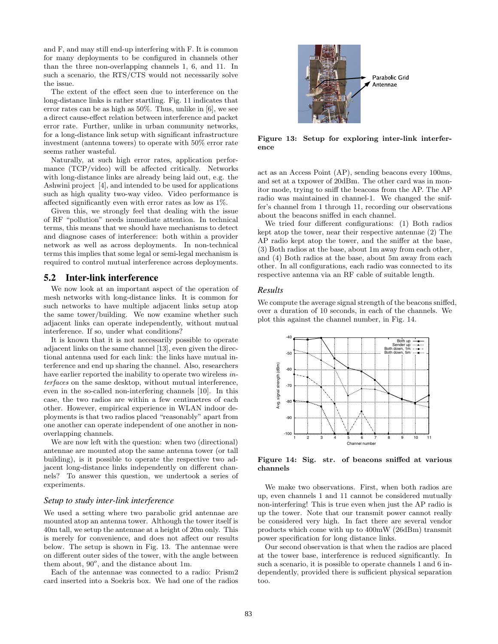and F, and may still end-up interfering with F. It is common for many deployments to be configured in channels other than the three non-overlapping channels 1, 6, and 11. In such a scenario, the RTS/CTS would not necessarily solve the issue.

The extent of the effect seen due to interference on the long-distance links is rather startling. Fig. 11 indicates that error rates can be as high as 50%. Thus, unlike in [6], we see a direct cause-effect relation between interference and packet error rate. Further, unlike in urban community networks, for a long-distance link setup with significant infrastructure investment (antenna towers) to operate with 50% error rate seems rather wasteful.

Naturally, at such high error rates, application performance (TCP/video) will be affected critically. Networks with long-distance links are already being laid out, e.g. the Ashwini project [4], and intended to be used for applications such as high quality two-way video. Video performance is affected significantly even with error rates as low as 1%.

Given this, we strongly feel that dealing with the issue of RF "pollution" needs immediate attention. In technical terms, this means that we should have mechanisms to detect and diagnose cases of interference: both within a provider network as well as across deployments. In non-technical terms this implies that some legal or semi-legal mechanism is required to control mutual interference across deployments.

# **5.2 Inter-link interference**

We now look at an important aspect of the operation of mesh networks with long-distance links. It is common for such networks to have multiple adjacent links setup atop the same tower/building. We now examine whether such adjacent links can operate independently, without mutual interference. If so, under what conditions?

It is known that it is not necessarily possible to operate adjacent links on the same channel [13], even given the directional antenna used for each link: the links have mutual interference and end up sharing the channel. Also, researchers have earlier reported the inability to operate two wireless interfaces on the same desktop, without mutual interference, even in the so-called non-interfering channels [10]. In this case, the two radios are within a few centimetres of each other. However, empirical experience in WLAN indoor deployments is that two radios placed "reasonably" apart from one another can operate independent of one another in nonoverlapping channels.

We are now left with the question: when two (directional) antennae are mounted atop the same antenna tower (or tall building), is it possible to operate the respective two adjacent long-distance links independently on different channels? To answer this question, we undertook a series of experiments.

#### *Setup to study inter-link interference*

We used a setting where two parabolic grid antennae are mounted atop an antenna tower. Although the tower itself is 40m tall, we setup the antennae at a height of 20m only. This is merely for convenience, and does not affect our results below. The setup is shown in Fig. 13. The antennae were on different outer sides of the tower, with the angle between them about,  $90^{\circ}$ , and the distance about 1m.

Each of the antennae was connected to a radio: Prism2 card inserted into a Soekris box. We had one of the radios



**Figure 13: Setup for exploring inter-link interference**

act as an Access Point (AP), sending beacons every 100ms, and set at a txpower of 20dBm. The other card was in monitor mode, trying to sniff the beacons from the AP. The AP radio was maintained in channel-1. We changed the sniffer's channel from 1 through 11, recording our observations about the beacons sniffed in each channel.

We tried four different configurations: (1) Both radios kept atop the tower, near their respective antennae (2) The AP radio kept atop the tower, and the sniffer at the base, (3) Both radios at the base, about 1m away from each other, and (4) Both radios at the base, about 5m away from each other. In all configurations, each radio was connected to its respective antenna via an RF cable of suitable length.

#### *Results*

We compute the average signal strength of the beacons sniffed, over a duration of 10 seconds, in each of the channels. We plot this against the channel number, in Fig. 14.



**Figure 14: Sig. str. of beacons sniffed at various channels**

We make two observations. First, when both radios are up, even channels 1 and 11 cannot be considered mutually non-interfering! This is true even when just the AP radio is up the tower. Note that our transmit power cannot really be considered very high. In fact there are several vendor products which come with up to 400mW (26dBm) transmit power specification for long distance links.

Our second observation is that when the radios are placed at the tower base, interference is reduced significantly. In such a scenario, it is possible to operate channels 1 and 6 independently, provided there is sufficient physical separation too.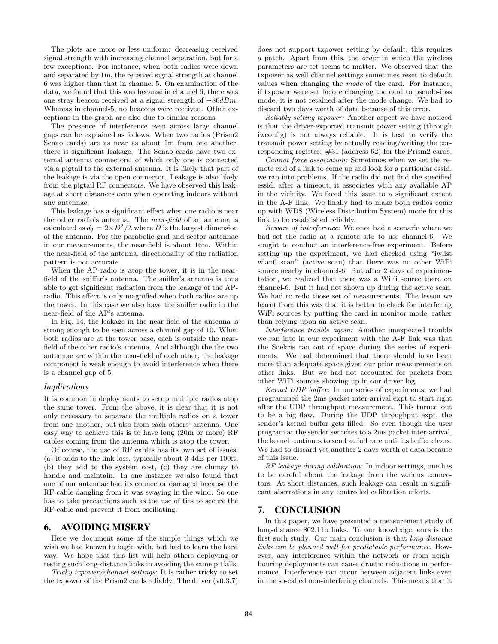The plots are more or less uniform: decreasing received signal strength with increasing channel separation, but for a few exceptions. For instance, when both radios were down and separated by 1m, the received signal strength at channel 6 was higher than that in channel 5. On examination of the data, we found that this was because in channel 6, there was one stray beacon received at a signal strength of <sup>−</sup>86dBm. Whereas in channel-5, no beacons were received. Other exceptions in the graph are also due to similar reasons.

The presence of interference even across large channel gaps can be explained as follows. When two radios (Prism2 Senao cards) are as near as about 1m from one another, there is significant leakage. The Senao cards have two external antenna connectors, of which only one is connected via a pigtail to the external antenna. It is likely that part of the leakage is via the open connector. Leakage is also likely from the pigtail RF connectors. We have observed this leakage at short distances even when operating indoors without any antennae.

This leakage has a significant effect when one radio is near the other radio's antenna. The near-field of an antenna is calculated as  $d_f = 2 \times D^2/\lambda$  where D is the largest dimension of the antenna. For the parabolic grid and sector antennae in our measurements, the near-field is about 16m. Within the near-field of the antenna, directionality of the radiation pattern is not accurate.

When the AP-radio is atop the tower, it is in the nearfield of the sniffer's antenna. The sniffer's antenna is thus able to get significant radiation from the leakage of the APradio. This effect is only magnified when both radios are up the tower. In this case we also have the sniffer radio in the near-field of the AP's antenna.

In Fig. 14, the leakage in the near field of the antenna is strong enough to be seen across a channel gap of 10. When both radios are at the tower base, each is outside the nearfield of the other radio's antenna. And although the the two antennae are within the near-field of each other, the leakage component is weak enough to avoid interference when there is a channel gap of 5.

#### *Implications*

It is common in deployments to setup multiple radios atop the same tower. From the above, it is clear that it is not only necessary to separate the multiple radios on a tower from one another, but also from each others' antenna. One easy way to achieve this is to have long (20m or more) RF cables coming from the antenna which is atop the tower.

Of course, the use of RF cables has its own set of issues: (a) it adds to the link loss, typically about 3-4dB per 100ft, (b) they add to the system cost, (c) they are clumsy to handle and maintain. In one instance we also found that one of our antennae had its connector damaged because the RF cable dangling from it was swaying in the wind. So one has to take precautions such as the use of ties to secure the RF cable and prevent it from oscillating.

## **6. AVOIDING MISERY**

Here we document some of the simple things which we wish we had known to begin with, but had to learn the hard way. We hope that this list will help others deploying or testing such long-distance links in avoiding the same pitfalls.

Tricky txpower/channel settings: It is rather tricky to set the txpower of the Prism2 cards reliably. The driver (v0.3.7) does not support txpower setting by default, this requires a patch. Apart from this, the order in which the wireless parameters are set seems to matter. We observed that the txpower as well channel settings sometimes reset to default values when changing the mode of the card. For instance, if txpower were set before changing the card to pseudo-ibss mode, it is not retained after the mode change. We had to discard two days worth of data because of this error.

Reliably setting txpower: Another aspect we have noticed is that the driver-exported transmit power setting (through iwconfig) is not always reliable. It is best to verify the transmit power setting by actually reading/writing the corresponding register: #31 (address 62) for the Prism2 cards.

Cannot force association: Sometimes when we set the remote end of a link to come up and look for a particular essid, we ran into problems. If the radio did not find the specified essid, after a timeout, it associates with any available AP in the vicinity. We faced this issue to a significant extent in the A-F link. We finally had to make both radios come up with WDS (Wireless Distribution System) mode for this link to be established reliably.

Beware of interference: We once had a scenario where we had set the radio at a remote site to use channel-6. We sought to conduct an interference-free experiment. Before setting up the experiment, we had checked using "iwlist wlan0 scan" (active scan) that there was no other WiFi source nearby in channel-6. But after 2 days of experimentation, we realized that there was a WiFi source there on channel-6. But it had not shown up during the active scan. We had to redo those set of measurements. The lesson we learnt from this was that it is better to check for interfering WiFi sources by putting the card in monitor mode, rather than relying upon an active scan.

Interference trouble again: Another unexpected trouble we ran into in our experiment with the A-F link was that the Soekris ran out of space during the series of experiments. We had determined that there should have been more than adequate space given our prior measurements on other links. But we had not accounted for packets from other WiFi sources showing up in our driver log.

Kernel UDP buffer: In our series of experiments, we had programmed the 2ms packet inter-arrival expt to start right after the UDP throughput measurement. This turned out to be a big flaw. During the UDP throughput expt, the sender's kernel buffer gets filled. So even though the user program at the sender switches to a 2ms packet inter-arrival, the kernel continues to send at full rate until its buffer clears. We had to discard yet another 2 days worth of data because of this issue.

RF leakage during calibration: In indoor settings, one has to be careful about the leakage from the various connectors. At short distances, such leakage can result in significant aberrations in any controlled calibration efforts.

## **7. CONCLUSION**

In this paper, we have presented a measurement study of long-distance 802.11b links. To our knowledge, ours is the first such study. Our main conclusion is that long-distance links can be planned well for predictable performance. However, any interference within the network or from neighbouring deployments can cause drastic reductions in performance. Interference can occur between adjacent links even in the so-called non-interfering channels. This means that it